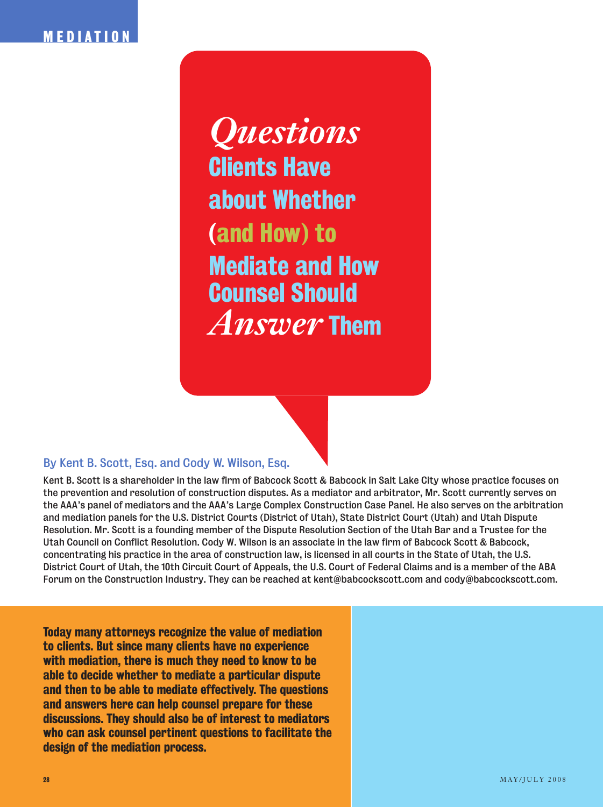# **MEDIATION**

*Questions*  **Clients Have about Whether (and How) to Mediate and How Counsel Should**  *Answer* **Them**

## **By Kent B. Scott, Esq. and Cody W. Wilson, Esq.**

**Kent B. Scott is a shareholder in the law firm of Babcock Scott & Babcock in Salt Lake City whose practice focuses on the prevention and resolution of construction disputes. As a mediator and arbitrator, Mr. Scott currently serves on the AAA's panel of mediators and the AAA's Large Complex Construction Case Panel. He also serves on the arbitration and mediation panels for the U.S. District Courts (District of Utah), State District Court (Utah) and Utah Dispute Resolution. Mr. Scott is a founding member of the Dispute Resolution Section of the Utah Bar and a Trustee for the Utah Council on Conflict Resolution. Cody W. Wilson is an associate in the law firm of Babcock Scott & Babcock, concentrating his practice in the area of construction law, is licensed in all courts in the State of Utah, the U.S. District Court of Utah, the 10th Circuit Court of Appeals, the U.S. Court of Federal Claims and is a member of the ABA Forum on the Construction Industry. They can be reached at kent@babcockscott.com and cody@babcockscott.com.**

**Today many attorneys recognize the value of mediation to clients. But since many clients have no experience with mediation, there is much they need to know to be able to decide whether to mediate a particular dispute and then to be able to mediate effectively. The questions and answers here can help counsel prepare for these discussions. They should also be of interest to mediators who can ask counsel pertinent questions to facilitate the design of the mediation process.**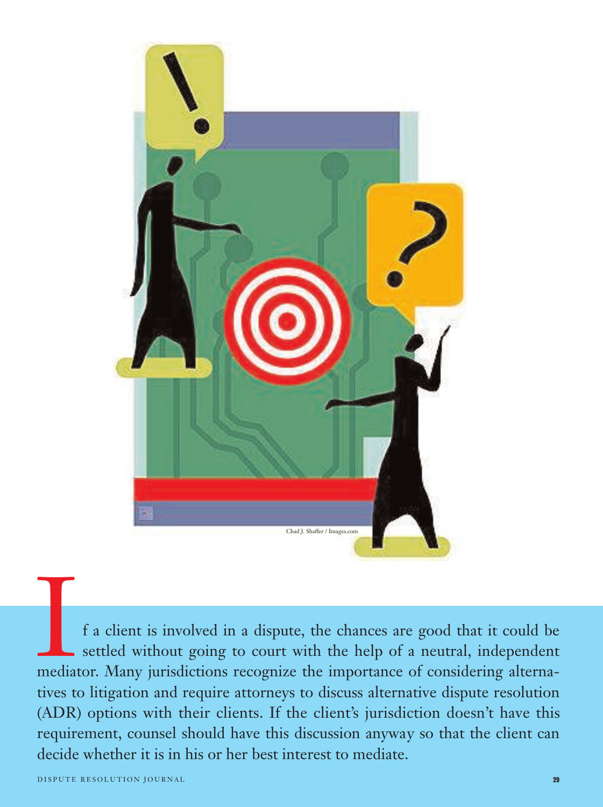

If a client is involved in a dispute, the chances are good that it could be settled without going to court with the help of a neutral, independent mediator. Many jurisdictions recognize the importance of considering altern settled without going to court with the help of a neutral, independent tives to litigation and require attorneys to discuss alternative dispute resolution (ADR) options with their clients. If the client's jurisdiction doesn't have this requirement, counsel should have this discussion anyway so that the client can decide whether it is in his or her best interest to mediate.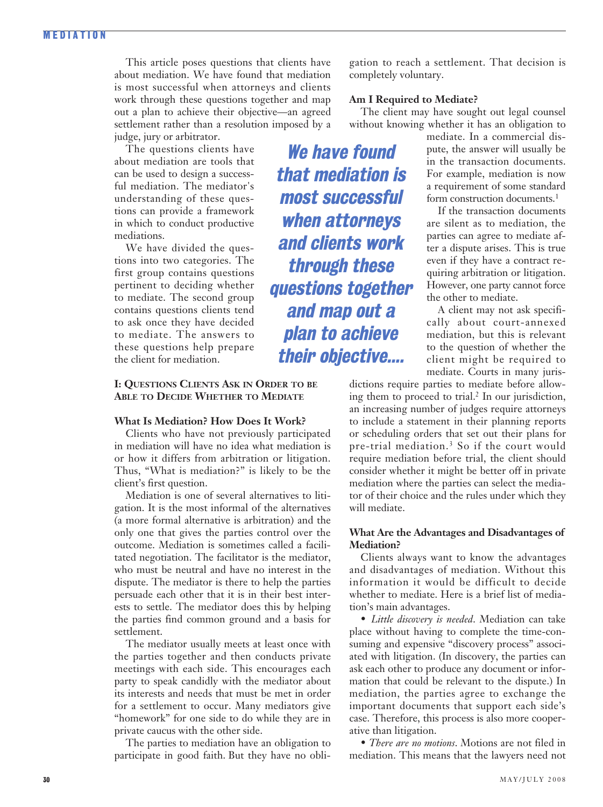## **M EDIATION**

This article poses questions that clients have about mediation. We have found that mediation is most successful when attorneys and clients work through these questions together and map out a plan to achieve their objective—an agreed settlement rather than a resolution imposed by a judge, jury or arbitrator.

The questions clients have about mediation are tools that can be used to design a successful mediation. The mediator's understanding of these questions can provide a framework in which to conduct productive mediations.

We have divided the questions into two categories. The first group contains questions pertinent to deciding whether to mediate. The second group contains questions clients tend to ask once they have decided to mediate. The answers to these questions help prepare the client for mediation.

## **I: QUESTIONS CLIENTS ASK IN ORDER TO BE ABLE TO DECIDE WHETHER TO MEDIATE**

## **What Is Mediation? How Does It Work?**

Clients who have not previously participated in mediation will have no idea what mediation is or how it differs from arbitration or litigation. Thus, "What is mediation?" is likely to be the client's first question.

Mediation is one of several alternatives to litigation. It is the most informal of the alternatives (a more formal alternative is arbitration) and the only one that gives the parties control over the outcome. Mediation is sometimes called a facilitated negotiation. The facilitator is the mediator, who must be neutral and have no interest in the dispute. The mediator is there to help the parties persuade each other that it is in their best interests to settle. The mediator does this by helping the parties find common ground and a basis for settlement.

The mediator usually meets at least once with the parties together and then conducts private meetings with each side. This encourages each party to speak candidly with the mediator about its interests and needs that must be met in order for a settlement to occur. Many mediators give "homework" for one side to do while they are in private caucus with the other side.

The parties to mediation have an obligation to participate in good faith. But they have no obligation to reach a settlement. That decision is completely voluntary.

#### **Am I Required to Mediate?**

The client may have sought out legal counsel without knowing whether it has an obligation to

**We have found that mediation is most successful when attorneys and clients work through these questions together and map out a plan to achieve their objective....** 

mediate. In a commercial dispute, the answer will usually be in the transaction documents. For example, mediation is now a requirement of some standard form construction documents.<sup>1</sup>

If the transaction documents are silent as to mediation, the parties can agree to mediate after a dispute arises. This is true even if they have a contract requiring arbitration or litigation. However, one party cannot force the other to mediate.

A client may not ask specifically about court-annexed mediation, but this is relevant to the question of whether the client might be required to mediate. Courts in many juris-

dictions require parties to mediate before allowing them to proceed to trial.<sup>2</sup> In our jurisdiction, an increasing number of judges require attorneys to include a statement in their planning reports or scheduling orders that set out their plans for pre-trial mediation.3 So if the court would require mediation before trial, the client should consider whether it might be better off in private mediation where the parties can select the mediator of their choice and the rules under which they will mediate.

## **What Are the Advantages and Disadvantages of Mediation?**

Clients always want to know the advantages and disadvantages of mediation. Without this information it would be difficult to decide whether to mediate. Here is a brief list of mediation's main advantages.

• *Little discovery is needed*. Mediation can take place without having to complete the time-consuming and expensive "discovery process" associated with litigation. (In discovery, the parties can ask each other to produce any document or information that could be relevant to the dispute.) In mediation, the parties agree to exchange the important documents that support each side's case. Therefore, this process is also more cooperative than litigation.

• *There are no motions*. Motions are not filed in mediation. This means that the lawyers need not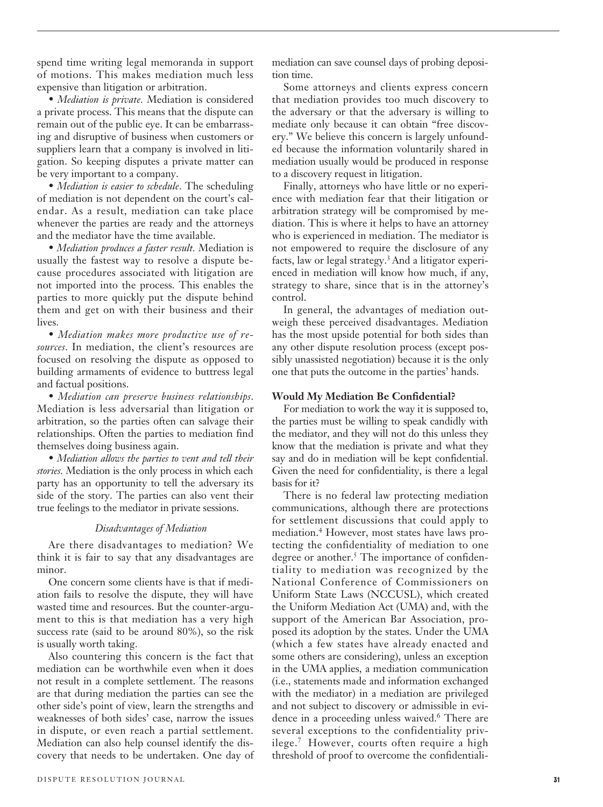spend time writing legal memoranda in support of motions. This makes mediation much less expensive than litigation or arbitration.

• *Mediation is private.* Mediation is considered a private process. This means that the dispute can remain out of the public eye. It can be embarrassing and disruptive of business when customers or suppliers learn that a company is involved in litigation. So keeping disputes a private matter can be very important to a company.

• *Mediation is easier to schedule*. The scheduling of mediation is not dependent on the court's calendar. As a result, mediation can take place whenever the parties are ready and the attorneys and the mediator have the time available.

• *Mediation produces a faster result.* Mediation is usually the fastest way to resolve a dispute because procedures associated with litigation are not imported into the process. This enables the parties to more quickly put the dispute behind them and get on with their business and their lives.

• *Mediation makes more productive use of resources*. In mediation, the client's resources are focused on resolving the dispute as opposed to building armaments of evidence to buttress legal and factual positions.

• *Mediation can preserve business relationships*. Mediation is less adversarial than litigation or arbitration, so the parties often can salvage their relationships. Often the parties to mediation find themselves doing business again.

• *Mediation allows the parties to vent and tell their stories.* Mediation is the only process in which each party has an opportunity to tell the adversary its side of the story. The parties can also vent their true feelings to the mediator in private sessions.

## *Disadvantages of Mediation*

Are there disadvantages to mediation? We think it is fair to say that any disadvantages are minor.

One concern some clients have is that if mediation fails to resolve the dispute, they will have wasted time and resources. But the counter-argument to this is that mediation has a very high success rate (said to be around 80%), so the risk is usually worth taking.

Also countering this concern is the fact that mediation can be worthwhile even when it does not result in a complete settlement. The reasons are that during mediation the parties can see the other side's point of view, learn the strengths and weaknesses of both sides' case, narrow the issues in dispute, or even reach a partial settlement. Mediation can also help counsel identify the discovery that needs to be undertaken. One day of mediation can save counsel days of probing deposition time.

Some attorneys and clients express concern that mediation provides too much discovery to the adversary or that the adversary is willing to mediate only because it can obtain "free discovery." We believe this concern is largely unfounded because the information voluntarily shared in mediation usually would be produced in response to a discovery request in litigation.

Finally, attorneys who have little or no experience with mediation fear that their litigation or arbitration strategy will be compromised by mediation. This is where it helps to have an attorney who is experienced in mediation. The mediator is not empowered to require the disclosure of any facts, law or legal strategy.3 And a litigator experienced in mediation will know how much, if any, strategy to share, since that is in the attorney's control.

In general, the advantages of mediation outweigh these perceived disadvantages. Mediation has the most upside potential for both sides than any other dispute resolution process (except possibly unassisted negotiation) because it is the only one that puts the outcome in the parties' hands.

#### **Would My Mediation Be Confidential?**

For mediation to work the way it is supposed to, the parties must be willing to speak candidly with the mediator, and they will not do this unless they know that the mediation is private and what they say and do in mediation will be kept confidential. Given the need for confidentiality, is there a legal basis for it?

There is no federal law protecting mediation communications, although there are protections for settlement discussions that could apply to mediation.4 However, most states have laws protecting the confidentiality of mediation to one degree or another.<sup>5</sup> The importance of confidentiality to mediation was recognized by the National Conference of Commissioners on Uniform State Laws (NCCUSL), which created the Uniform Mediation Act (UMA) and, with the support of the American Bar Association, proposed its adoption by the states. Under the UMA (which a few states have already enacted and some others are considering), unless an exception in the UMA applies, a mediation communication (i.e., statements made and information exchanged with the mediator) in a mediation are privileged and not subject to discovery or admissible in evidence in a proceeding unless waived.<sup>6</sup> There are several exceptions to the confidentiality privilege.7 However, courts often require a high threshold of proof to overcome the confidentiali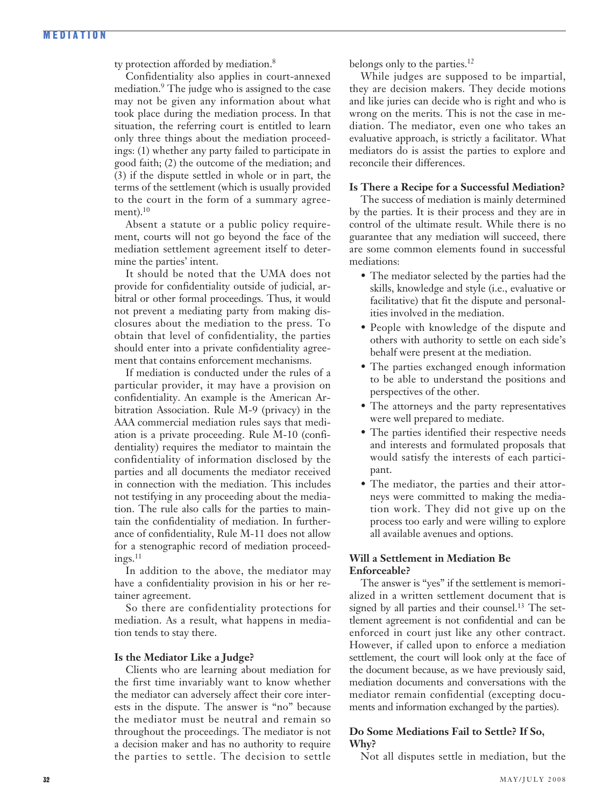ty protection afforded by mediation.<sup>8</sup>

Confidentiality also applies in court-annexed mediation.<sup>9</sup> The judge who is assigned to the case may not be given any information about what took place during the mediation process. In that situation, the referring court is entitled to learn only three things about the mediation proceedings: (1) whether any party failed to participate in good faith; (2) the outcome of the mediation; and (3) if the dispute settled in whole or in part, the terms of the settlement (which is usually provided to the court in the form of a summary agreement). $10$ 

Absent a statute or a public policy requirement, courts will not go beyond the face of the mediation settlement agreement itself to determine the parties' intent.

It should be noted that the UMA does not provide for confidentiality outside of judicial, arbitral or other formal proceedings. Thus, it would not prevent a mediating party from making disclosures about the mediation to the press. To obtain that level of confidentiality, the parties should enter into a private confidentiality agreement that contains enforcement mechanisms.

If mediation is conducted under the rules of a particular provider, it may have a provision on confidentiality. An example is the American Arbitration Association. Rule M-9 (privacy) in the AAA commercial mediation rules says that mediation is a private proceeding. Rule M-10 (confidentiality) requires the mediator to maintain the confidentiality of information disclosed by the parties and all documents the mediator received in connection with the mediation. This includes not testifying in any proceeding about the mediation. The rule also calls for the parties to maintain the confidentiality of mediation. In furtherance of confidentiality, Rule M-11 does not allow for a stenographic record of mediation proceed $ings.<sup>11</sup>$ 

In addition to the above, the mediator may have a confidentiality provision in his or her retainer agreement.

So there are confidentiality protections for mediation. As a result, what happens in mediation tends to stay there.

## **Is the Mediator Like a Judge?**

Clients who are learning about mediation for the first time invariably want to know whether the mediator can adversely affect their core interests in the dispute. The answer is "no" because the mediator must be neutral and remain so throughout the proceedings. The mediator is not a decision maker and has no authority to require the parties to settle. The decision to settle belongs only to the parties.<sup>12</sup>

While judges are supposed to be impartial, they are decision makers. They decide motions and like juries can decide who is right and who is wrong on the merits. This is not the case in mediation. The mediator, even one who takes an evaluative approach, is strictly a facilitator. What mediators do is assist the parties to explore and reconcile their differences.

## **Is There a Recipe for a Successful Mediation?**

The success of mediation is mainly determined by the parties. It is their process and they are in control of the ultimate result. While there is no guarantee that any mediation will succeed, there are some common elements found in successful mediations:

- The mediator selected by the parties had the skills, knowledge and style (i.e., evaluative or facilitative) that fit the dispute and personalities involved in the mediation.
- People with knowledge of the dispute and others with authority to settle on each side's behalf were present at the mediation.
- The parties exchanged enough information to be able to understand the positions and perspectives of the other.
- The attorneys and the party representatives were well prepared to mediate.
- The parties identified their respective needs and interests and formulated proposals that would satisfy the interests of each participant.
- The mediator, the parties and their attorneys were committed to making the mediation work. They did not give up on the process too early and were willing to explore all available avenues and options.

## **Will a Settlement in Mediation Be Enforceable?**

The answer is "yes" if the settlement is memorialized in a written settlement document that is signed by all parties and their counsel.<sup>13</sup> The settlement agreement is not confidential and can be enforced in court just like any other contract. However, if called upon to enforce a mediation settlement, the court will look only at the face of the document because, as we have previously said, mediation documents and conversations with the mediator remain confidential (excepting documents and information exchanged by the parties).

## **Do Some Mediations Fail to Settle? If So, Why?**

Not all disputes settle in mediation, but the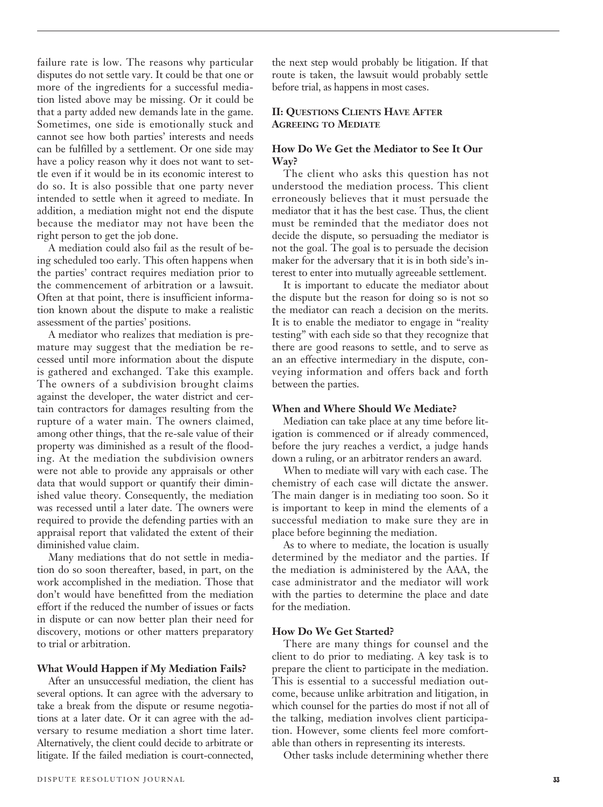failure rate is low. The reasons why particular disputes do not settle vary. It could be that one or more of the ingredients for a successful mediation listed above may be missing. Or it could be that a party added new demands late in the game. Sometimes, one side is emotionally stuck and cannot see how both parties' interests and needs can be fulfilled by a settlement. Or one side may have a policy reason why it does not want to settle even if it would be in its economic interest to do so. It is also possible that one party never intended to settle when it agreed to mediate. In addition, a mediation might not end the dispute because the mediator may not have been the right person to get the job done.

A mediation could also fail as the result of being scheduled too early. This often happens when the parties' contract requires mediation prior to the commencement of arbitration or a lawsuit. Often at that point, there is insufficient information known about the dispute to make a realistic assessment of the parties' positions.

A mediator who realizes that mediation is premature may suggest that the mediation be recessed until more information about the dispute is gathered and exchanged. Take this example. The owners of a subdivision brought claims against the developer, the water district and certain contractors for damages resulting from the rupture of a water main. The owners claimed, among other things, that the re-sale value of their property was diminished as a result of the flooding. At the mediation the subdivision owners were not able to provide any appraisals or other data that would support or quantify their diminished value theory. Consequently, the mediation was recessed until a later date. The owners were required to provide the defending parties with an appraisal report that validated the extent of their diminished value claim.

Many mediations that do not settle in mediation do so soon thereafter, based, in part, on the work accomplished in the mediation. Those that don't would have benefitted from the mediation effort if the reduced the number of issues or facts in dispute or can now better plan their need for discovery, motions or other matters preparatory to trial or arbitration.

#### **What Would Happen if My Mediation Fails?**

After an unsuccessful mediation, the client has several options. It can agree with the adversary to take a break from the dispute or resume negotiations at a later date. Or it can agree with the adversary to resume mediation a short time later. Alternatively, the client could decide to arbitrate or litigate. If the failed mediation is court-connected, the next step would probably be litigation. If that route is taken, the lawsuit would probably settle before trial, as happens in most cases.

## **II: QUESTIONS CLIENTS HAVE AFTER AGREEING TO MEDIATE**

## **How Do We Get the Mediator to See It Our Way?**

The client who asks this question has not understood the mediation process. This client erroneously believes that it must persuade the mediator that it has the best case. Thus, the client must be reminded that the mediator does not decide the dispute, so persuading the mediator is not the goal. The goal is to persuade the decision maker for the adversary that it is in both side's interest to enter into mutually agreeable settlement.

It is important to educate the mediator about the dispute but the reason for doing so is not so the mediator can reach a decision on the merits. It is to enable the mediator to engage in "reality testing" with each side so that they recognize that there are good reasons to settle, and to serve as an an effective intermediary in the dispute, conveying information and offers back and forth between the parties.

## **When and Where Should We Mediate?**

Mediation can take place at any time before litigation is commenced or if already commenced, before the jury reaches a verdict, a judge hands down a ruling, or an arbitrator renders an award.

When to mediate will vary with each case. The chemistry of each case will dictate the answer. The main danger is in mediating too soon. So it is important to keep in mind the elements of a successful mediation to make sure they are in place before beginning the mediation.

As to where to mediate, the location is usually determined by the mediator and the parties. If the mediation is administered by the AAA, the case administrator and the mediator will work with the parties to determine the place and date for the mediation.

## **How Do We Get Started?**

There are many things for counsel and the client to do prior to mediating. A key task is to prepare the client to participate in the mediation. This is essential to a successful mediation outcome, because unlike arbitration and litigation, in which counsel for the parties do most if not all of the talking, mediation involves client participation. However, some clients feel more comfortable than others in representing its interests.

Other tasks include determining whether there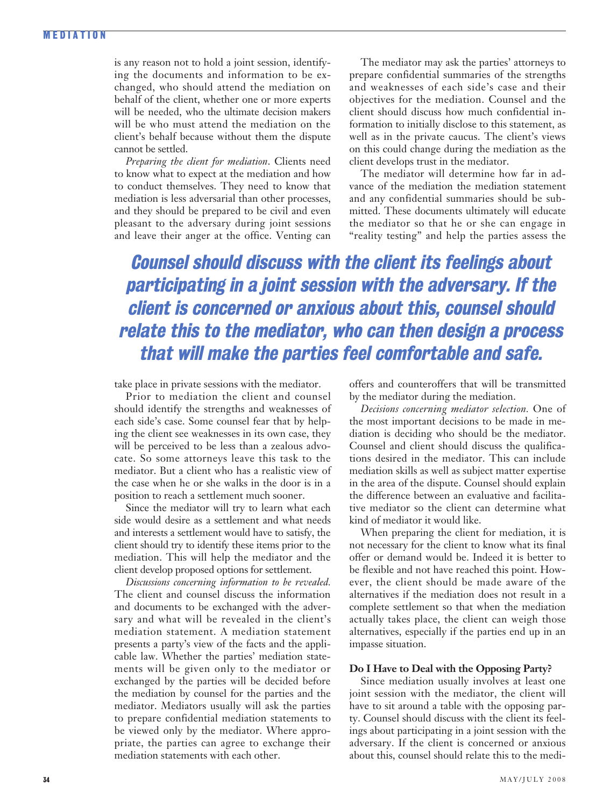## **M EDIATION**

is any reason not to hold a joint session, identifying the documents and information to be exchanged, who should attend the mediation on behalf of the client, whether one or more experts will be needed, who the ultimate decision makers will be who must attend the mediation on the client's behalf because without them the dispute cannot be settled.

*Preparing the client for mediation*. Clients need to know what to expect at the mediation and how to conduct themselves. They need to know that mediation is less adversarial than other processes, and they should be prepared to be civil and even pleasant to the adversary during joint sessions and leave their anger at the office. Venting can

The mediator may ask the parties' attorneys to prepare confidential summaries of the strengths and weaknesses of each side's case and their objectives for the mediation. Counsel and the client should discuss how much confidential information to initially disclose to this statement, as well as in the private caucus. The client's views on this could change during the mediation as the client develops trust in the mediator.

The mediator will determine how far in advance of the mediation the mediation statement and any confidential summaries should be submitted. These documents ultimately will educate the mediator so that he or she can engage in "reality testing" and help the parties assess the

**Counsel should discuss with the client its feelings about participating in a joint session with the adversary. If the client is concerned or anxious about this, counsel should relate this to the mediator, who can then design a process that will make the parties feel comfortable and safe.** 

take place in private sessions with the mediator.

Prior to mediation the client and counsel should identify the strengths and weaknesses of each side's case. Some counsel fear that by helping the client see weaknesses in its own case, they will be perceived to be less than a zealous advocate. So some attorneys leave this task to the mediator. But a client who has a realistic view of the case when he or she walks in the door is in a position to reach a settlement much sooner.

Since the mediator will try to learn what each side would desire as a settlement and what needs and interests a settlement would have to satisfy, the client should try to identify these items prior to the mediation. This will help the mediator and the client develop proposed options for settlement.

*Discussions concerning information to be revealed.* The client and counsel discuss the information and documents to be exchanged with the adversary and what will be revealed in the client's mediation statement. A mediation statement presents a party's view of the facts and the applicable law. Whether the parties' mediation statements will be given only to the mediator or exchanged by the parties will be decided before the mediation by counsel for the parties and the mediator. Mediators usually will ask the parties to prepare confidential mediation statements to be viewed only by the mediator. Where appropriate, the parties can agree to exchange their mediation statements with each other.

offers and counteroffers that will be transmitted by the mediator during the mediation.

*Decisions concerning mediator selection.* One of the most important decisions to be made in mediation is deciding who should be the mediator. Counsel and client should discuss the qualifications desired in the mediator. This can include mediation skills as well as subject matter expertise in the area of the dispute. Counsel should explain the difference between an evaluative and facilitative mediator so the client can determine what kind of mediator it would like.

When preparing the client for mediation, it is not necessary for the client to know what its final offer or demand would be. Indeed it is better to be flexible and not have reached this point. However, the client should be made aware of the alternatives if the mediation does not result in a complete settlement so that when the mediation actually takes place, the client can weigh those alternatives, especially if the parties end up in an impasse situation.

## **Do I Have to Deal with the Opposing Party?**

Since mediation usually involves at least one joint session with the mediator, the client will have to sit around a table with the opposing party. Counsel should discuss with the client its feelings about participating in a joint session with the adversary. If the client is concerned or anxious about this, counsel should relate this to the medi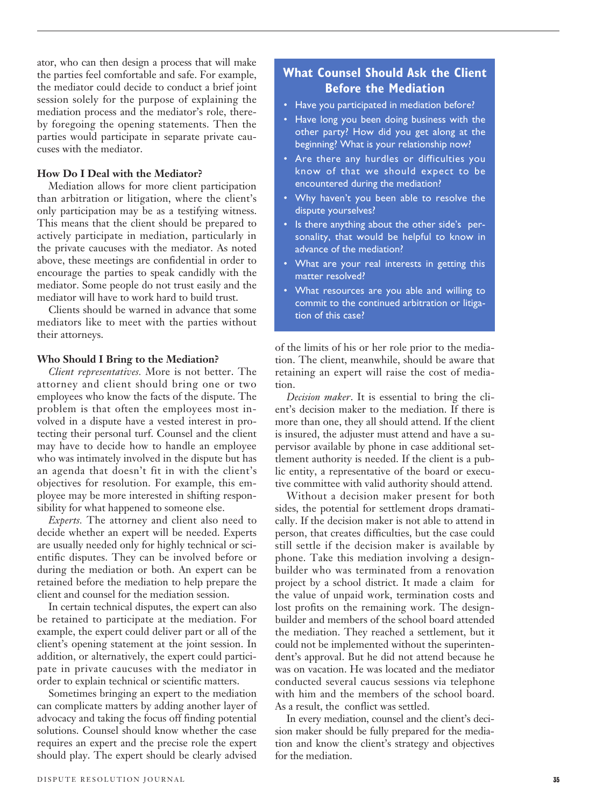ator, who can then design a process that will make the parties feel comfortable and safe. For example, the mediator could decide to conduct a brief joint session solely for the purpose of explaining the mediation process and the mediator's role, thereby foregoing the opening statements. Then the parties would participate in separate private caucuses with the mediator.

#### **How Do I Deal with the Mediator?**

Mediation allows for more client participation than arbitration or litigation, where the client's only participation may be as a testifying witness. This means that the client should be prepared to actively participate in mediation, particularly in the private caucuses with the mediator. As noted above, these meetings are confidential in order to encourage the parties to speak candidly with the mediator. Some people do not trust easily and the mediator will have to work hard to build trust.

Clients should be warned in advance that some mediators like to meet with the parties without their attorneys.

#### **Who Should I Bring to the Mediation?**

*Client representatives.* More is not better. The attorney and client should bring one or two employees who know the facts of the dispute. The problem is that often the employees most involved in a dispute have a vested interest in protecting their personal turf. Counsel and the client may have to decide how to handle an employee who was intimately involved in the dispute but has an agenda that doesn't fit in with the client's objectives for resolution. For example, this employee may be more interested in shifting responsibility for what happened to someone else.

*Experts.* The attorney and client also need to decide whether an expert will be needed. Experts are usually needed only for highly technical or scientific disputes. They can be involved before or during the mediation or both. An expert can be retained before the mediation to help prepare the client and counsel for the mediation session.

In certain technical disputes, the expert can also be retained to participate at the mediation. For example, the expert could deliver part or all of the client's opening statement at the joint session. In addition, or alternatively, the expert could participate in private caucuses with the mediator in order to explain technical or scientific matters.

Sometimes bringing an expert to the mediation can complicate matters by adding another layer of advocacy and taking the focus off finding potential solutions. Counsel should know whether the case requires an expert and the precise role the expert should play. The expert should be clearly advised

# **What Counsel Should Ask the Client Before the Mediation**

- Have you participated in mediation before?
- Have long you been doing business with the other party? How did you get along at the beginning? What is your relationship now?
- Are there any hurdles or difficulties you know of that we should expect to be encountered during the mediation?
- Why haven't you been able to resolve the dispute yourselves?
- Is there anything about the other side's personality, that would be helpful to know in advance of the mediation?
- What are your real interests in getting this matter resolved?
- What resources are you able and willing to commit to the continued arbitration or litigation of this case?

of the limits of his or her role prior to the mediation. The client, meanwhile, should be aware that retaining an expert will raise the cost of mediation.

*Decision maker*. It is essential to bring the client's decision maker to the mediation. If there is more than one, they all should attend. If the client is insured, the adjuster must attend and have a supervisor available by phone in case additional settlement authority is needed. If the client is a public entity, a representative of the board or executive committee with valid authority should attend.

Without a decision maker present for both sides, the potential for settlement drops dramatically. If the decision maker is not able to attend in person, that creates difficulties, but the case could still settle if the decision maker is available by phone. Take this mediation involving a designbuilder who was terminated from a renovation project by a school district. It made a claim for the value of unpaid work, termination costs and lost profits on the remaining work. The designbuilder and members of the school board attended the mediation. They reached a settlement, but it could not be implemented without the superintendent's approval. But he did not attend because he was on vacation. He was located and the mediator conducted several caucus sessions via telephone with him and the members of the school board. As a result, the conflict was settled.

In every mediation, counsel and the client's decision maker should be fully prepared for the mediation and know the client's strategy and objectives for the mediation.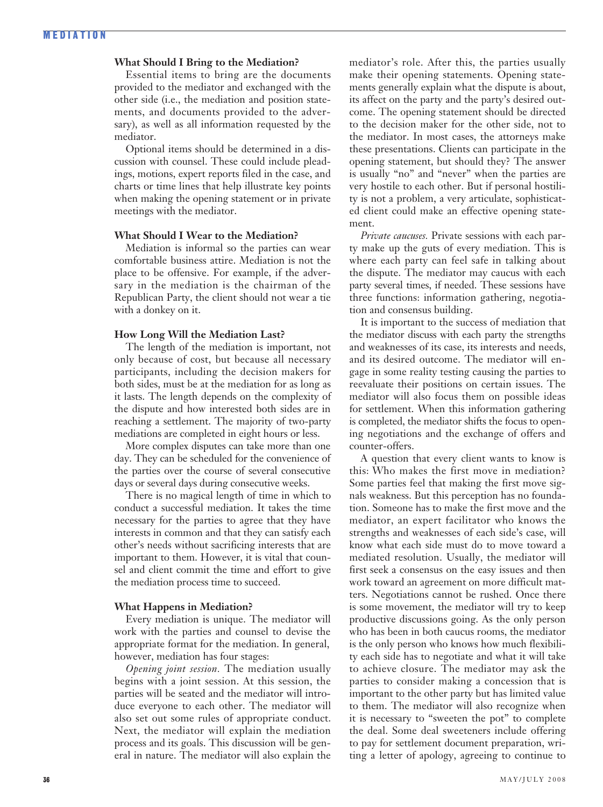## **What Should I Bring to the Mediation?**

Essential items to bring are the documents provided to the mediator and exchanged with the other side (i.e., the mediation and position statements, and documents provided to the adversary), as well as all information requested by the mediator.

Optional items should be determined in a discussion with counsel. These could include pleadings, motions, expert reports filed in the case, and charts or time lines that help illustrate key points when making the opening statement or in private meetings with the mediator.

## **What Should I Wear to the Mediation?**

Mediation is informal so the parties can wear comfortable business attire. Mediation is not the place to be offensive. For example, if the adversary in the mediation is the chairman of the Republican Party, the client should not wear a tie with a donkey on it.

#### **How Long Will the Mediation Last?**

The length of the mediation is important, not only because of cost, but because all necessary participants, including the decision makers for both sides, must be at the mediation for as long as it lasts. The length depends on the complexity of the dispute and how interested both sides are in reaching a settlement. The majority of two-party mediations are completed in eight hours or less.

More complex disputes can take more than one day. They can be scheduled for the convenience of the parties over the course of several consecutive days or several days during consecutive weeks.

There is no magical length of time in which to conduct a successful mediation. It takes the time necessary for the parties to agree that they have interests in common and that they can satisfy each other's needs without sacrificing interests that are important to them. However, it is vital that counsel and client commit the time and effort to give the mediation process time to succeed.

#### **What Happens in Mediation?**

Every mediation is unique. The mediator will work with the parties and counsel to devise the appropriate format for the mediation. In general, however, mediation has four stages:

*Opening joint session.* The mediation usually begins with a joint session. At this session, the parties will be seated and the mediator will introduce everyone to each other. The mediator will also set out some rules of appropriate conduct. Next, the mediator will explain the mediation process and its goals. This discussion will be general in nature. The mediator will also explain the mediator's role. After this, the parties usually make their opening statements. Opening statements generally explain what the dispute is about, its affect on the party and the party's desired outcome. The opening statement should be directed to the decision maker for the other side, not to the mediator. In most cases, the attorneys make these presentations. Clients can participate in the opening statement, but should they? The answer is usually "no" and "never" when the parties are very hostile to each other. But if personal hostility is not a problem, a very articulate, sophisticated client could make an effective opening statement.

*Private caucuses.* Private sessions with each party make up the guts of every mediation. This is where each party can feel safe in talking about the dispute. The mediator may caucus with each party several times, if needed. These sessions have three functions: information gathering, negotiation and consensus building.

It is important to the success of mediation that the mediator discuss with each party the strengths and weaknesses of its case, its interests and needs, and its desired outcome. The mediator will engage in some reality testing causing the parties to reevaluate their positions on certain issues. The mediator will also focus them on possible ideas for settlement. When this information gathering is completed, the mediator shifts the focus to opening negotiations and the exchange of offers and counter-offers.

A question that every client wants to know is this: Who makes the first move in mediation? Some parties feel that making the first move signals weakness. But this perception has no foundation. Someone has to make the first move and the mediator, an expert facilitator who knows the strengths and weaknesses of each side's case, will know what each side must do to move toward a mediated resolution. Usually, the mediator will first seek a consensus on the easy issues and then work toward an agreement on more difficult matters. Negotiations cannot be rushed. Once there is some movement, the mediator will try to keep productive discussions going. As the only person who has been in both caucus rooms, the mediator is the only person who knows how much flexibility each side has to negotiate and what it will take to achieve closure. The mediator may ask the parties to consider making a concession that is important to the other party but has limited value to them. The mediator will also recognize when it is necessary to "sweeten the pot" to complete the deal. Some deal sweeteners include offering to pay for settlement document preparation, writing a letter of apology, agreeing to continue to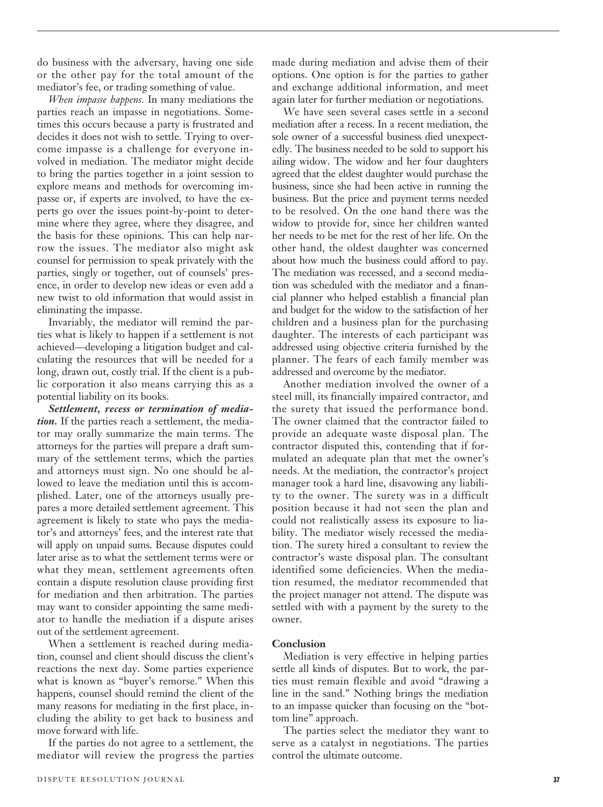do business with the adversary, having one side or the other pay for the total amount of the mediator's fee, or trading something of value.

*When impasse happens.* In many mediations the parties reach an impasse in negotiations. Sometimes this occurs because a party is frustrated and decides it does not wish to settle. Trying to overcome impasse is a challenge for everyone involved in mediation. The mediator might decide to bring the parties together in a joint session to explore means and methods for overcoming impasse or, if experts are involved, to have the experts go over the issues point-by-point to determine where they agree, where they disagree, and the basis for these opinions. This can help narrow the issues. The mediator also might ask counsel for permission to speak privately with the parties, singly or together, out of counsels' presence, in order to develop new ideas or even add a new twist to old information that would assist in eliminating the impasse.

Invariably, the mediator will remind the parties what is likely to happen if a settlement is not achieved—developing a litigation budget and calculating the resources that will be needed for a long, drawn out, costly trial. If the client is a public corporation it also means carrying this as a potential liability on its books.

*Settlement, recess or termination of mediation.* If the parties reach a settlement, the mediator may orally summarize the main terms. The attorneys for the parties will prepare a draft summary of the settlement terms, which the parties and attorneys must sign. No one should be allowed to leave the mediation until this is accomplished. Later, one of the attorneys usually prepares a more detailed settlement agreement. This agreement is likely to state who pays the mediator's and attorneys' fees, and the interest rate that will apply on unpaid sums. Because disputes could later arise as to what the settlement terms were or what they mean, settlement agreements often contain a dispute resolution clause providing first for mediation and then arbitration. The parties may want to consider appointing the same mediator to handle the mediation if a dispute arises out of the settlement agreement.

When a settlement is reached during mediation, counsel and client should discuss the client's reactions the next day. Some parties experience what is known as "buyer's remorse." When this happens, counsel should remind the client of the many reasons for mediating in the first place, including the ability to get back to business and move forward with life.

If the parties do not agree to a settlement, the mediator will review the progress the parties made during mediation and advise them of their options. One option is for the parties to gather and exchange additional information, and meet again later for further mediation or negotiations.

We have seen several cases settle in a second mediation after a recess. In a recent mediation, the sole owner of a successful business died unexpectedly. The business needed to be sold to support his ailing widow. The widow and her four daughters agreed that the eldest daughter would purchase the business, since she had been active in running the business. But the price and payment terms needed to be resolved. On the one hand there was the widow to provide for, since her children wanted her needs to be met for the rest of her life. On the other hand, the oldest daughter was concerned about how much the business could afford to pay. The mediation was recessed, and a second mediation was scheduled with the mediator and a financial planner who helped establish a financial plan and budget for the widow to the satisfaction of her children and a business plan for the purchasing daughter. The interests of each participant was addressed using objective criteria furnished by the planner. The fears of each family member was addressed and overcome by the mediator.

Another mediation involved the owner of a steel mill, its financially impaired contractor, and the surety that issued the performance bond. The owner claimed that the contractor failed to provide an adequate waste disposal plan. The contractor disputed this, contending that if formulated an adequate plan that met the owner's needs. At the mediation, the contractor's project manager took a hard line, disavowing any liability to the owner. The surety was in a difficult position because it had not seen the plan and could not realistically assess its exposure to liability. The mediator wisely recessed the mediation. The surety hired a consultant to review the contractor's waste disposal plan. The consultant identified some deficiencies. When the mediation resumed, the mediator recommended that the project manager not attend. The dispute was settled with with a payment by the surety to the owner.

## **Conclusion**

Mediation is very effective in helping parties settle all kinds of disputes. But to work, the parties must remain flexible and avoid "drawing a line in the sand." Nothing brings the mediation to an impasse quicker than focusing on the "bottom line" approach.

The parties select the mediator they want to serve as a catalyst in negotiations. The parties control the ultimate outcome.